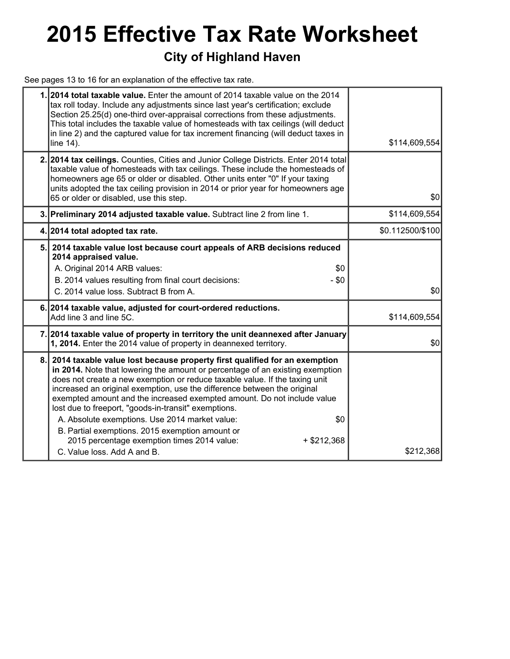# **2015 Effective Tax Rate Worksheet**

### **City of Highland Haven**

See pages 13 to 16 for an explanation of the effective tax rate.

|    | 1.2014 total taxable value. Enter the amount of 2014 taxable value on the 2014<br>tax roll today. Include any adjustments since last year's certification; exclude<br>Section 25.25(d) one-third over-appraisal corrections from these adjustments.<br>This total includes the taxable value of homesteads with tax ceilings (will deduct<br>in line 2) and the captured value for tax increment financing (will deduct taxes in<br>line 14).                                                                                                                                                                                                                      | \$114,609,554    |
|----|--------------------------------------------------------------------------------------------------------------------------------------------------------------------------------------------------------------------------------------------------------------------------------------------------------------------------------------------------------------------------------------------------------------------------------------------------------------------------------------------------------------------------------------------------------------------------------------------------------------------------------------------------------------------|------------------|
|    | 2. 2014 tax ceilings. Counties, Cities and Junior College Districts. Enter 2014 total<br>taxable value of homesteads with tax ceilings. These include the homesteads of<br>homeowners age 65 or older or disabled. Other units enter "0" If your taxing<br>units adopted the tax ceiling provision in 2014 or prior year for homeowners age<br>65 or older or disabled, use this step.                                                                                                                                                                                                                                                                             | \$0              |
|    | 3. Preliminary 2014 adjusted taxable value. Subtract line 2 from line 1.                                                                                                                                                                                                                                                                                                                                                                                                                                                                                                                                                                                           | \$114,609,554    |
|    | 4. 2014 total adopted tax rate.                                                                                                                                                                                                                                                                                                                                                                                                                                                                                                                                                                                                                                    | \$0.112500/\$100 |
| 5. | 2014 taxable value lost because court appeals of ARB decisions reduced<br>2014 appraised value.<br>A. Original 2014 ARB values:<br>\$0<br>B. 2014 values resulting from final court decisions:<br>$- $0$<br>C. 2014 value loss. Subtract B from A.                                                                                                                                                                                                                                                                                                                                                                                                                 | \$0              |
|    | 6. 2014 taxable value, adjusted for court-ordered reductions.<br>Add line 3 and line 5C.                                                                                                                                                                                                                                                                                                                                                                                                                                                                                                                                                                           | \$114,609,554    |
|    | 7. 2014 taxable value of property in territory the unit deannexed after January<br>1, 2014. Enter the 2014 value of property in deannexed territory.                                                                                                                                                                                                                                                                                                                                                                                                                                                                                                               | \$0              |
| 8. | 2014 taxable value lost because property first qualified for an exemption<br>in 2014. Note that lowering the amount or percentage of an existing exemption<br>does not create a new exemption or reduce taxable value. If the taxing unit<br>increased an original exemption, use the difference between the original<br>exempted amount and the increased exempted amount. Do not include value<br>lost due to freeport, "goods-in-transit" exemptions.<br>A. Absolute exemptions. Use 2014 market value:<br>\$0<br>B. Partial exemptions. 2015 exemption amount or<br>2015 percentage exemption times 2014 value:<br>$+ $212,368$<br>C. Value loss, Add A and B. | \$212,368        |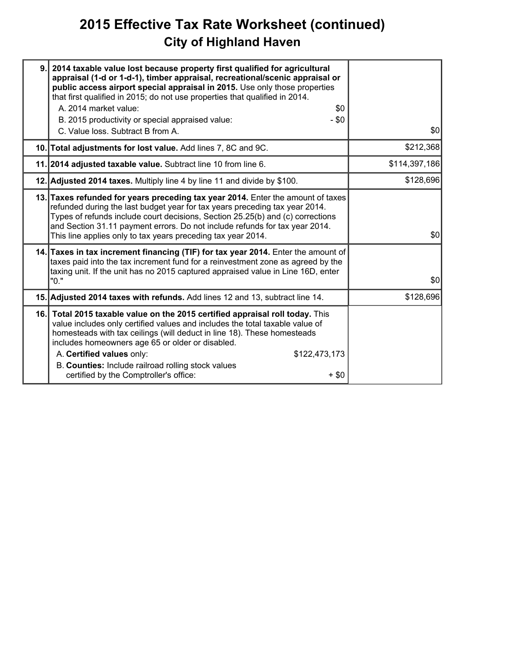## **2015 Effective Tax Rate Worksheet (continued) City of Highland Haven**

| 9. | 2014 taxable value lost because property first qualified for agricultural<br>appraisal (1-d or 1-d-1), timber appraisal, recreational/scenic appraisal or<br>public access airport special appraisal in 2015. Use only those properties<br>that first qualified in 2015; do not use properties that qualified in 2014.<br>A. 2014 market value:<br>\$0<br>B. 2015 productivity or special appraised value:<br>$- $0$<br>C. Value loss. Subtract B from A. | \$0           |
|----|-----------------------------------------------------------------------------------------------------------------------------------------------------------------------------------------------------------------------------------------------------------------------------------------------------------------------------------------------------------------------------------------------------------------------------------------------------------|---------------|
|    | 10. Total adjustments for lost value. Add lines 7, 8C and 9C.                                                                                                                                                                                                                                                                                                                                                                                             | \$212,368     |
|    | 11. 2014 adjusted taxable value. Subtract line 10 from line 6.                                                                                                                                                                                                                                                                                                                                                                                            | \$114,397,186 |
|    | 12. Adjusted 2014 taxes. Multiply line 4 by line 11 and divide by \$100.                                                                                                                                                                                                                                                                                                                                                                                  | \$128,696     |
|    | 13. Taxes refunded for years preceding tax year 2014. Enter the amount of taxes<br>refunded during the last budget year for tax years preceding tax year 2014.<br>Types of refunds include court decisions, Section 25.25(b) and (c) corrections<br>and Section 31.11 payment errors. Do not include refunds for tax year 2014.<br>This line applies only to tax years preceding tax year 2014.                                                           | \$0           |
|    | 14. Taxes in tax increment financing (TIF) for tax year 2014. Enter the amount of<br>taxes paid into the tax increment fund for a reinvestment zone as agreed by the<br>taxing unit. If the unit has no 2015 captured appraised value in Line 16D, enter<br>"0."                                                                                                                                                                                          | \$0           |
|    | 15. Adjusted 2014 taxes with refunds. Add lines 12 and 13, subtract line 14.                                                                                                                                                                                                                                                                                                                                                                              | \$128,696     |
|    | 16. Total 2015 taxable value on the 2015 certified appraisal roll today. This<br>value includes only certified values and includes the total taxable value of<br>homesteads with tax ceilings (will deduct in line 18). These homesteads<br>includes homeowners age 65 or older or disabled.<br>A. Certified values only:<br>\$122,473,173<br>B. Counties: Include railroad rolling stock values<br>certified by the Comptroller's office:<br>$+$ \$0     |               |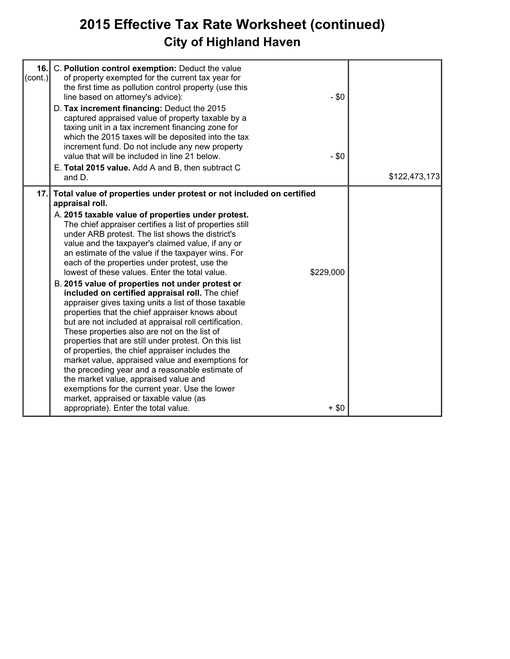## **2015 Effective Tax Rate Worksheet (continued) City of Highland Haven**

| 16.1<br>$\text{(cont.)}$ | C. Pollution control exemption: Deduct the value<br>of property exempted for the current tax year for<br>the first time as pollution control property (use this                                                                                                                                                                                                                                                                                                                                                                                                                                                                                                                                                                                                                                                                                                                                                                                                                                                                                                                                             |                      |               |
|--------------------------|-------------------------------------------------------------------------------------------------------------------------------------------------------------------------------------------------------------------------------------------------------------------------------------------------------------------------------------------------------------------------------------------------------------------------------------------------------------------------------------------------------------------------------------------------------------------------------------------------------------------------------------------------------------------------------------------------------------------------------------------------------------------------------------------------------------------------------------------------------------------------------------------------------------------------------------------------------------------------------------------------------------------------------------------------------------------------------------------------------------|----------------------|---------------|
|                          | line based on attorney's advice):<br>D. Tax increment financing: Deduct the 2015                                                                                                                                                                                                                                                                                                                                                                                                                                                                                                                                                                                                                                                                                                                                                                                                                                                                                                                                                                                                                            | $-$ \$0              |               |
|                          | captured appraised value of property taxable by a<br>taxing unit in a tax increment financing zone for<br>which the 2015 taxes will be deposited into the tax<br>increment fund. Do not include any new property<br>value that will be included in line 21 below.<br>E. Total 2015 value. Add A and B, then subtract C<br>and D.                                                                                                                                                                                                                                                                                                                                                                                                                                                                                                                                                                                                                                                                                                                                                                            | $-$ \$0              | \$122,473,173 |
| 17.1                     | Total value of properties under protest or not included on certified<br>appraisal roll.                                                                                                                                                                                                                                                                                                                                                                                                                                                                                                                                                                                                                                                                                                                                                                                                                                                                                                                                                                                                                     |                      |               |
|                          | A. 2015 taxable value of properties under protest.<br>The chief appraiser certifies a list of properties still<br>under ARB protest. The list shows the district's<br>value and the taxpayer's claimed value, if any or<br>an estimate of the value if the taxpayer wins. For<br>each of the properties under protest, use the<br>lowest of these values. Enter the total value.<br>B. 2015 value of properties not under protest or<br>included on certified appraisal roll. The chief<br>appraiser gives taxing units a list of those taxable<br>properties that the chief appraiser knows about<br>but are not included at appraisal roll certification.<br>These properties also are not on the list of<br>properties that are still under protest. On this list<br>of properties, the chief appraiser includes the<br>market value, appraised value and exemptions for<br>the preceding year and a reasonable estimate of<br>the market value, appraised value and<br>exemptions for the current year. Use the lower<br>market, appraised or taxable value (as<br>appropriate). Enter the total value. | \$229,000<br>$+$ \$0 |               |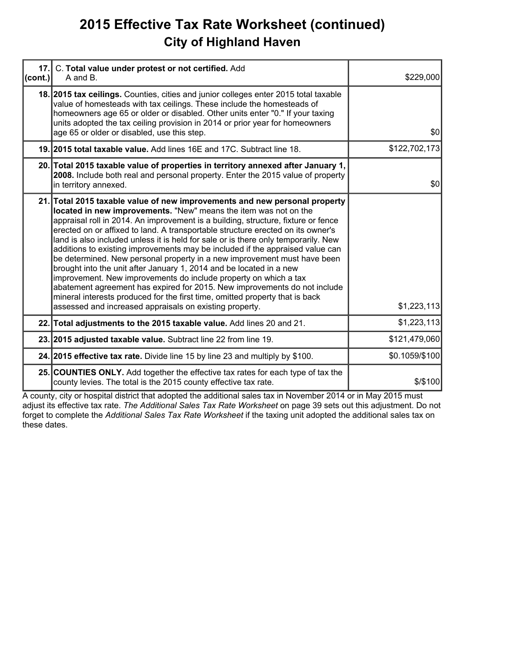### **2015 Effective Tax Rate Worksheet (continued) City of Highland Haven**

| 17.<br>(cont.) | C. Total value under protest or not certified. Add<br>A and B.                                                                                                                                                                                                                                                                                                                                                                                                                                                                                                                                                                                                                                                                                                                                                                                                                                                                               | \$229,000      |
|----------------|----------------------------------------------------------------------------------------------------------------------------------------------------------------------------------------------------------------------------------------------------------------------------------------------------------------------------------------------------------------------------------------------------------------------------------------------------------------------------------------------------------------------------------------------------------------------------------------------------------------------------------------------------------------------------------------------------------------------------------------------------------------------------------------------------------------------------------------------------------------------------------------------------------------------------------------------|----------------|
|                | 18. 2015 tax cellings. Counties, cities and junior colleges enter 2015 total taxable<br>value of homesteads with tax ceilings. These include the homesteads of<br>homeowners age 65 or older or disabled. Other units enter "0." If your taxing<br>units adopted the tax ceiling provision in 2014 or prior year for homeowners<br>age 65 or older or disabled, use this step.                                                                                                                                                                                                                                                                                                                                                                                                                                                                                                                                                               | \$0            |
|                | 19. 2015 total taxable value. Add lines 16E and 17C. Subtract line 18.                                                                                                                                                                                                                                                                                                                                                                                                                                                                                                                                                                                                                                                                                                                                                                                                                                                                       | \$122,702,173  |
|                | 20. Total 2015 taxable value of properties in territory annexed after January 1,<br>2008. Include both real and personal property. Enter the 2015 value of property<br>in territory annexed.                                                                                                                                                                                                                                                                                                                                                                                                                                                                                                                                                                                                                                                                                                                                                 | \$0            |
|                | 21. Total 2015 taxable value of new improvements and new personal property<br>located in new improvements. "New" means the item was not on the<br>appraisal roll in 2014. An improvement is a building, structure, fixture or fence<br>erected on or affixed to land. A transportable structure erected on its owner's<br>land is also included unless it is held for sale or is there only temporarily. New<br>additions to existing improvements may be included if the appraised value can<br>be determined. New personal property in a new improvement must have been<br>brought into the unit after January 1, 2014 and be located in a new<br>improvement. New improvements do include property on which a tax<br>abatement agreement has expired for 2015. New improvements do not include<br>mineral interests produced for the first time, omitted property that is back<br>assessed and increased appraisals on existing property. | \$1,223,113    |
|                | 22. Total adjustments to the 2015 taxable value. Add lines 20 and 21.                                                                                                                                                                                                                                                                                                                                                                                                                                                                                                                                                                                                                                                                                                                                                                                                                                                                        | \$1,223,113    |
|                | 23. 2015 adjusted taxable value. Subtract line 22 from line 19.                                                                                                                                                                                                                                                                                                                                                                                                                                                                                                                                                                                                                                                                                                                                                                                                                                                                              | \$121,479,060  |
|                | 24. 2015 effective tax rate. Divide line 15 by line 23 and multiply by \$100.                                                                                                                                                                                                                                                                                                                                                                                                                                                                                                                                                                                                                                                                                                                                                                                                                                                                | \$0.1059/\$100 |
|                | 25. COUNTIES ONLY. Add together the effective tax rates for each type of tax the<br>county levies. The total is the 2015 county effective tax rate.                                                                                                                                                                                                                                                                                                                                                                                                                                                                                                                                                                                                                                                                                                                                                                                          | $$$ /\$100     |

A county, city or hospital district that adopted the additional sales tax in November 2014 or in May 2015 must adjust its effective tax rate. *The Additional Sales Tax Rate Worksheet* on page 39 sets out this adjustment. Do not forget to complete the *Additional Sales Tax Rate Worksheet* if the taxing unit adopted the additional sales tax on these dates.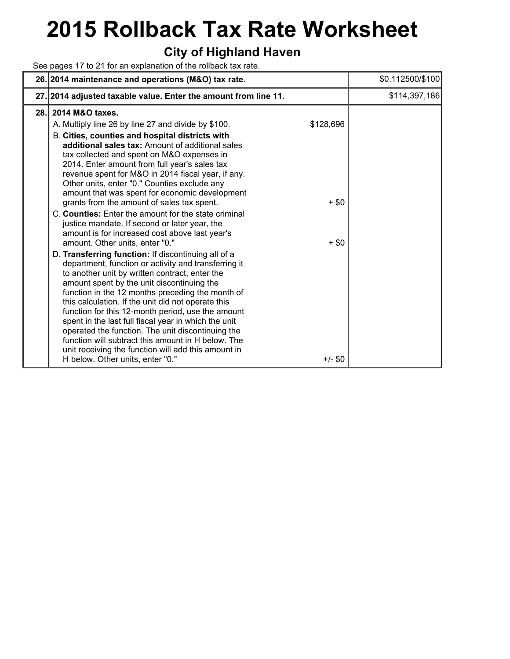# **2015 Rollback Tax Rate Worksheet**

### **City of Highland Haven**

See pages 17 to 21 for an explanation of the rollback tax rate.

|      | 26. 2014 maintenance and operations (M&O) tax rate.                                                                                                                                                                                                                                                                                                                                                                                                                                                                                                                                                                                                                                                                                                                                                                                                                                                                                                                                                                                                                                                                                                                                                                                                                                      |                                 | \$0.112500/\$100 |
|------|------------------------------------------------------------------------------------------------------------------------------------------------------------------------------------------------------------------------------------------------------------------------------------------------------------------------------------------------------------------------------------------------------------------------------------------------------------------------------------------------------------------------------------------------------------------------------------------------------------------------------------------------------------------------------------------------------------------------------------------------------------------------------------------------------------------------------------------------------------------------------------------------------------------------------------------------------------------------------------------------------------------------------------------------------------------------------------------------------------------------------------------------------------------------------------------------------------------------------------------------------------------------------------------|---------------------------------|------------------|
|      | 27. 2014 adjusted taxable value. Enter the amount from line 11.                                                                                                                                                                                                                                                                                                                                                                                                                                                                                                                                                                                                                                                                                                                                                                                                                                                                                                                                                                                                                                                                                                                                                                                                                          |                                 | \$114,397,186    |
| 28.1 | 2014 M&O taxes.<br>A. Multiply line 26 by line 27 and divide by \$100.<br>B. Cities, counties and hospital districts with<br>additional sales tax: Amount of additional sales<br>tax collected and spent on M&O expenses in<br>2014. Enter amount from full year's sales tax<br>revenue spent for M&O in 2014 fiscal year, if any.<br>Other units, enter "0." Counties exclude any<br>amount that was spent for economic development<br>grants from the amount of sales tax spent.<br>C. Counties: Enter the amount for the state criminal<br>justice mandate. If second or later year, the<br>amount is for increased cost above last year's<br>amount. Other units, enter "0."<br>D. Transferring function: If discontinuing all of a<br>department, function or activity and transferring it<br>to another unit by written contract, enter the<br>amount spent by the unit discontinuing the<br>function in the 12 months preceding the month of<br>this calculation. If the unit did not operate this<br>function for this 12-month period, use the amount<br>spent in the last full fiscal year in which the unit<br>operated the function. The unit discontinuing the<br>function will subtract this amount in H below. The<br>unit receiving the function will add this amount in | \$128,696<br>$+$ \$0<br>$+$ \$0 |                  |
|      | H below. Other units, enter "0."                                                                                                                                                                                                                                                                                                                                                                                                                                                                                                                                                                                                                                                                                                                                                                                                                                                                                                                                                                                                                                                                                                                                                                                                                                                         | $+/-$ \$0                       |                  |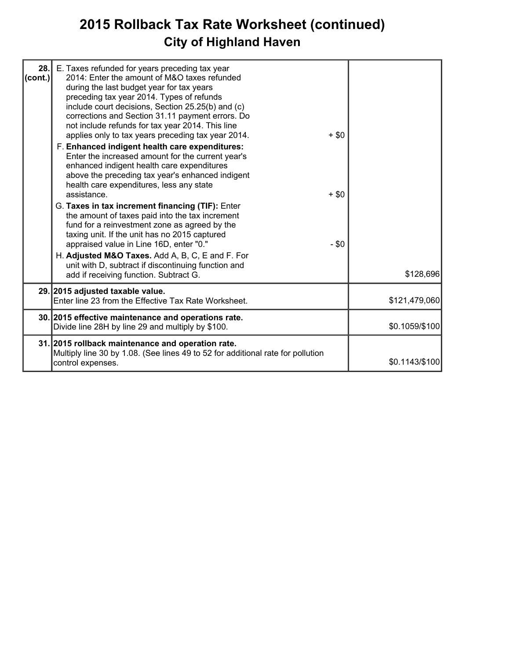## **2015 Rollback Tax Rate Worksheet (continued) City of Highland Haven**

| 28.<br>(cont.) | E. Taxes refunded for years preceding tax year<br>2014: Enter the amount of M&O taxes refunded                                                                                                                                                    |         |                |
|----------------|---------------------------------------------------------------------------------------------------------------------------------------------------------------------------------------------------------------------------------------------------|---------|----------------|
|                | during the last budget year for tax years<br>preceding tax year 2014. Types of refunds<br>include court decisions, Section 25.25(b) and (c)                                                                                                       |         |                |
|                | corrections and Section 31.11 payment errors. Do<br>not include refunds for tax year 2014. This line<br>applies only to tax years preceding tax year 2014.                                                                                        | $+$ \$0 |                |
|                | F. Enhanced indigent health care expenditures:<br>Enter the increased amount for the current year's<br>enhanced indigent health care expenditures<br>above the preceding tax year's enhanced indigent<br>health care expenditures, less any state |         |                |
|                | assistance.                                                                                                                                                                                                                                       | $+$ \$0 |                |
|                | G. Taxes in tax increment financing (TIF): Enter<br>the amount of taxes paid into the tax increment<br>fund for a reinvestment zone as agreed by the<br>taxing unit. If the unit has no 2015 captured                                             |         |                |
|                | appraised value in Line 16D, enter "0."<br>H. Adjusted M&O Taxes. Add A, B, C, E and F. For                                                                                                                                                       | $- $0$  |                |
|                | unit with D, subtract if discontinuing function and<br>add if receiving function. Subtract G.                                                                                                                                                     |         | \$128,696      |
|                | 29. 2015 adjusted taxable value.<br>Enter line 23 from the Effective Tax Rate Worksheet.                                                                                                                                                          |         | \$121,479,060  |
|                | 30. 2015 effective maintenance and operations rate.<br>Divide line 28H by line 29 and multiply by \$100.                                                                                                                                          |         | \$0.1059/\$100 |
|                | 31. 2015 rollback maintenance and operation rate.                                                                                                                                                                                                 |         |                |
|                | Multiply line 30 by 1.08. (See lines 49 to 52 for additional rate for pollution<br>control expenses.                                                                                                                                              |         | \$0.1143/\$100 |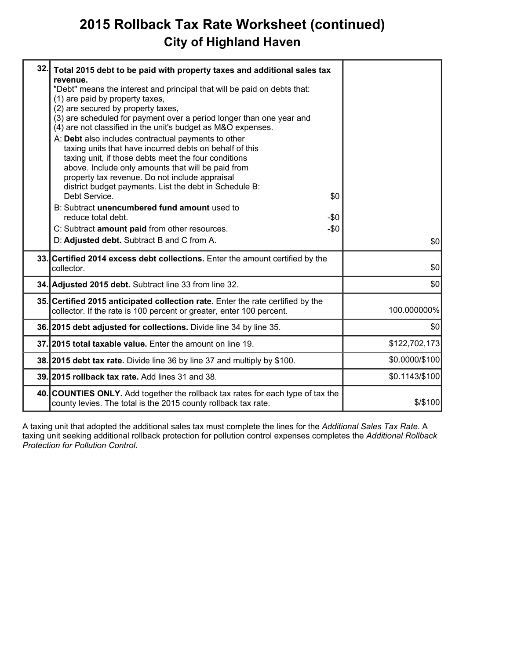### **2015 Rollback Tax Rate Worksheet (continued) City of Highland Haven**

| 32. | Total 2015 debt to be paid with property taxes and additional sales tax<br>revenue.<br>"Debt" means the interest and principal that will be paid on debts that:<br>(1) are paid by property taxes,<br>(2) are secured by property taxes,<br>(3) are scheduled for payment over a period longer than one year and<br>(4) are not classified in the unit's budget as M&O expenses.<br>A: Debt also includes contractual payments to other<br>taxing units that have incurred debts on behalf of this<br>taxing unit, if those debts meet the four conditions<br>above. Include only amounts that will be paid from<br>property tax revenue. Do not include appraisal<br>district budget payments. List the debt in Schedule B:<br>Debt Service.<br>\$0<br>B: Subtract unencumbered fund amount used to<br>reduce total debt.<br>-\$0<br>$-\$0$<br>C: Subtract amount paid from other resources.<br>D: Adjusted debt. Subtract B and C from A. | \$0            |
|-----|---------------------------------------------------------------------------------------------------------------------------------------------------------------------------------------------------------------------------------------------------------------------------------------------------------------------------------------------------------------------------------------------------------------------------------------------------------------------------------------------------------------------------------------------------------------------------------------------------------------------------------------------------------------------------------------------------------------------------------------------------------------------------------------------------------------------------------------------------------------------------------------------------------------------------------------------|----------------|
|     | 33. Certified 2014 excess debt collections. Enter the amount certified by the<br>collector.                                                                                                                                                                                                                                                                                                                                                                                                                                                                                                                                                                                                                                                                                                                                                                                                                                                 | \$0            |
|     | 34. Adjusted 2015 debt. Subtract line 33 from line 32.                                                                                                                                                                                                                                                                                                                                                                                                                                                                                                                                                                                                                                                                                                                                                                                                                                                                                      | \$0            |
|     | 35. Certified 2015 anticipated collection rate. Enter the rate certified by the<br>collector. If the rate is 100 percent or greater, enter 100 percent.                                                                                                                                                                                                                                                                                                                                                                                                                                                                                                                                                                                                                                                                                                                                                                                     | 100.000000%    |
|     | 36. 2015 debt adjusted for collections. Divide line 34 by line 35.                                                                                                                                                                                                                                                                                                                                                                                                                                                                                                                                                                                                                                                                                                                                                                                                                                                                          | \$0            |
|     | 37. 2015 total taxable value. Enter the amount on line 19.                                                                                                                                                                                                                                                                                                                                                                                                                                                                                                                                                                                                                                                                                                                                                                                                                                                                                  | \$122,702,173  |
|     | 38. 2015 debt tax rate. Divide line 36 by line 37 and multiply by \$100.                                                                                                                                                                                                                                                                                                                                                                                                                                                                                                                                                                                                                                                                                                                                                                                                                                                                    | \$0.0000/\$100 |
|     | 39. 2015 rollback tax rate. Add lines 31 and 38.                                                                                                                                                                                                                                                                                                                                                                                                                                                                                                                                                                                                                                                                                                                                                                                                                                                                                            | \$0.1143/\$100 |
|     | 40. COUNTIES ONLY. Add together the rollback tax rates for each type of tax the<br>county levies. The total is the 2015 county rollback tax rate.                                                                                                                                                                                                                                                                                                                                                                                                                                                                                                                                                                                                                                                                                                                                                                                           | \$/\$100       |
|     |                                                                                                                                                                                                                                                                                                                                                                                                                                                                                                                                                                                                                                                                                                                                                                                                                                                                                                                                             |                |

A taxing unit that adopted the additional sales tax must complete the lines for the *Additional Sales Tax Rate*. A taxing unit seeking additional rollback protection for pollution control expenses completes the *Additional Rollback Protection for Pollution Control*.